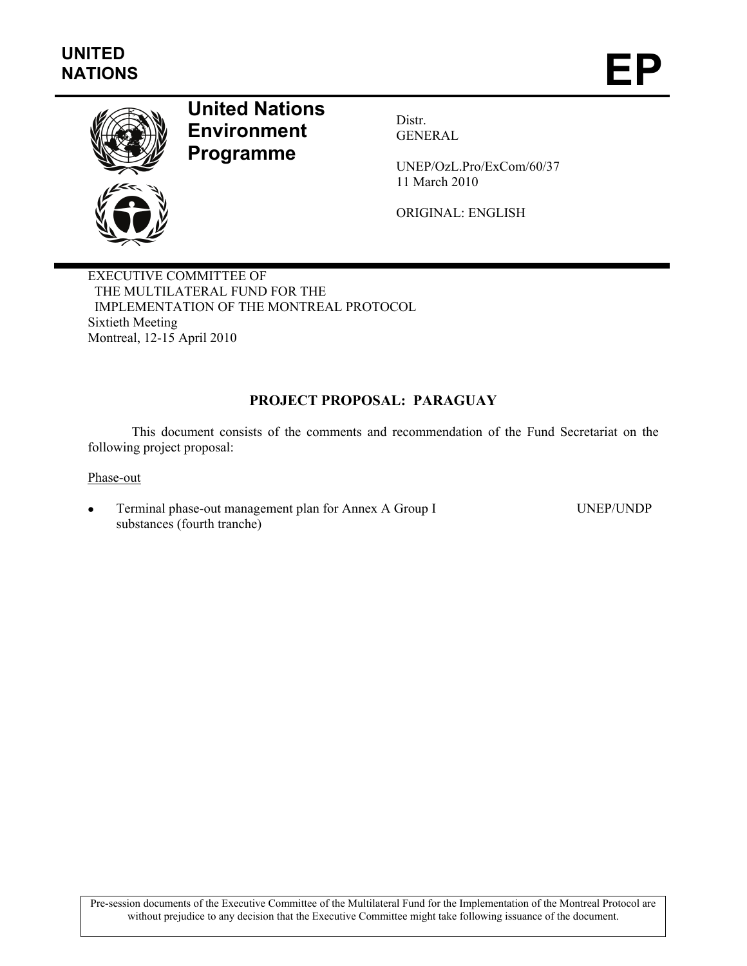

# **United Nations Environment Programme**

Distr. GENERAL

UNEP/OzL.Pro/ExCom/60/37 11 March 2010

ORIGINAL: ENGLISH

EXECUTIVE COMMITTEE OF THE MULTILATERAL FUND FOR THE IMPLEMENTATION OF THE MONTREAL PROTOCOL Sixtieth Meeting Montreal, 12-15 April 2010

## **PROJECT PROPOSAL: PARAGUAY**

This document consists of the comments and recommendation of the Fund Secretariat on the following project proposal:

Phase-out

• Terminal phase-out management plan for Annex A Group I substances (fourth tranche)

UNEP/UNDP

Pre-session documents of the Executive Committee of the Multilateral Fund for the Implementation of the Montreal Protocol are without prejudice to any decision that the Executive Committee might take following issuance of the document.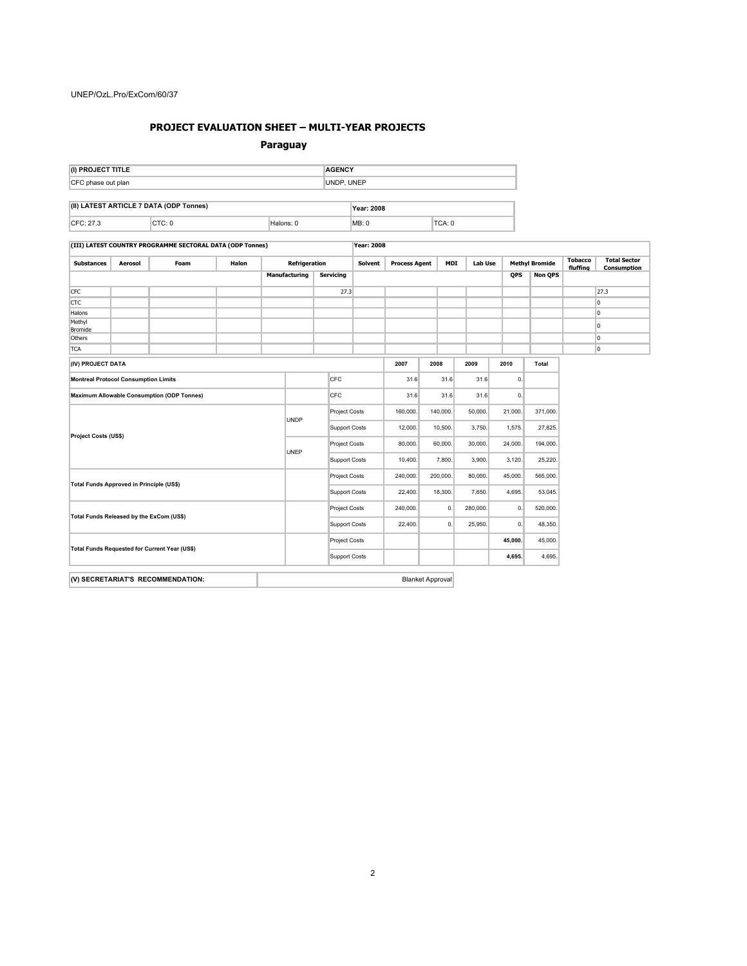#### **PROJECT EVALUATION SHEET – MULTI-YEAR PROJECTS**

#### **Paraguay**

| (I) PROJECT TITLE                                 |                 |                                                           |       |             |                         |                      | <b>AGENCY</b>        |                      |         |            |                |         |          |                       |                            |                                    |
|---------------------------------------------------|-----------------|-----------------------------------------------------------|-------|-------------|-------------------------|----------------------|----------------------|----------------------|---------|------------|----------------|---------|----------|-----------------------|----------------------------|------------------------------------|
| CFC phase out plan                                |                 |                                                           |       |             |                         | UNDP, UNEP           |                      |                      |         |            |                |         |          |                       |                            |                                    |
|                                                   |                 | (II) LATEST ARTICLE 7 DATA (ODP Tonnes)                   |       |             |                         |                      |                      |                      |         |            |                |         |          |                       |                            |                                    |
|                                                   |                 |                                                           |       |             |                         | Year: 2008           |                      |                      |         |            |                |         |          |                       |                            |                                    |
| CFC: 27.3<br>CTC: 0                               |                 |                                                           |       | Halons: 0   |                         |                      | TCA: 0<br>MB: 0      |                      |         |            |                |         |          |                       |                            |                                    |
|                                                   |                 | (III) LATEST COUNTRY PROGRAMME SECTORAL DATA (ODP Tonnes) |       |             |                         |                      | <b>Year: 2008</b>    |                      |         |            |                |         |          |                       |                            |                                    |
| <b>Substances</b>                                 | Aerosol<br>Foam |                                                           | Halon |             | Refrigeration           |                      | <b>Solvent</b>       | <b>Process Agent</b> |         | <b>MDI</b> | <b>Lab Use</b> |         |          | <b>Methyl Bromide</b> | <b>Tobacco</b><br>fluffing | <b>Total Sector</b><br>Consumption |
|                                                   |                 |                                                           |       |             | <b>Manufacturing</b>    | <b>Servicing</b>     |                      |                      |         |            |                | QPS     |          | <b>Non QPS</b>        |                            |                                    |
| CFC                                               |                 |                                                           |       |             |                         |                      | 27.3                 |                      |         |            |                |         |          |                       |                            | 27.3                               |
| CTC                                               |                 |                                                           |       |             |                         |                      |                      |                      |         |            |                |         |          |                       |                            | $\overline{0}$                     |
| Halons                                            |                 |                                                           |       |             |                         |                      |                      |                      |         |            |                |         |          |                       |                            | $\overline{0}$                     |
| Methyl<br>Bromide                                 |                 |                                                           |       |             |                         |                      |                      |                      |         |            |                |         |          |                       |                            | 0                                  |
| Others                                            |                 |                                                           |       |             |                         |                      |                      |                      |         |            |                |         |          |                       |                            | $\overline{0}$                     |
| <b>TCA</b>                                        |                 |                                                           |       |             |                         |                      |                      |                      |         |            |                |         |          |                       |                            | $\overline{0}$                     |
| (IV) PROJECT DATA                                 |                 |                                                           |       |             |                         |                      | 2007                 |                      | 2008    | 2009       | 2010           |         | Total    |                       |                            |                                    |
| <b>Montreal Protocol Consumption Limits</b>       |                 |                                                           |       |             | CFC                     |                      | 31.6                 |                      | 31.6    | 31.6       |                | 0.      |          |                       |                            |                                    |
| <b>Maximum Allowable Consumption (ODP Tonnes)</b> |                 |                                                           |       |             | CFC                     |                      | 31.6                 | 31.6                 |         | 31.6       |                | 0.      |          |                       |                            |                                    |
| Project Costs (US\$)                              |                 |                                                           |       |             |                         | Project Costs        | 160,000.             | 140,000.             |         | 50,000     | 21,000.        |         | 371,000. |                       |                            |                                    |
|                                                   |                 |                                                           |       | <b>UNDP</b> |                         | <b>Support Costs</b> | 12,000.              | 10,500.              |         | 3,750.     | 1,575.         |         | 27,825.  |                       |                            |                                    |
|                                                   |                 |                                                           |       |             |                         |                      | <b>Project Costs</b> | 80,000.              | 60,000. |            | 30,000         | 24,000. |          | 194,000.              |                            |                                    |
|                                                   |                 |                                                           |       | UNEP        |                         | <b>Support Costs</b> | 10,400.              |                      | 7,800.  | 3,900.     | 3,120.         |         | 25,220.  |                       |                            |                                    |
|                                                   |                 |                                                           |       |             |                         | Project Costs        | 240,000.             | 200,000.             |         | 80,000     | 45,000.        |         | 565,000. |                       |                            |                                    |
| Total Funds Approved in Principle (US\$)          |                 |                                                           |       |             |                         | <b>Support Costs</b> | 22,400.              | 18,300.              |         | 7,650.     | 4,695.         |         | 53,045.  |                       |                            |                                    |
|                                                   |                 |                                                           |       |             |                         | Project Costs        | 240,000.             |                      | 0.      | 280,000.   |                | 0.      | 520,000. |                       |                            |                                    |
| Total Funds Released by the ExCom (US\$)          |                 |                                                           |       |             |                         | <b>Support Costs</b> | 22,400.              | 0.                   |         | 25,950     |                | 0.      | 48,350.  |                       |                            |                                    |
| Total Funds Requested for Current Year (US\$)     |                 |                                                           |       |             |                         | Project Costs        |                      |                      |         |            | 45,000.        |         | 45,000.  |                       |                            |                                    |
|                                                   |                 |                                                           |       |             |                         | <b>Support Costs</b> |                      |                      |         |            | 4,695.         |         | 4,695.   |                       |                            |                                    |
|                                                   |                 |                                                           |       |             |                         |                      |                      |                      |         |            |                |         |          |                       |                            |                                    |
| (V) SECRETARIAT'S RECOMMENDATION:                 |                 |                                                           |       |             | <b>Blanket Approval</b> |                      |                      |                      |         |            |                |         |          |                       |                            |                                    |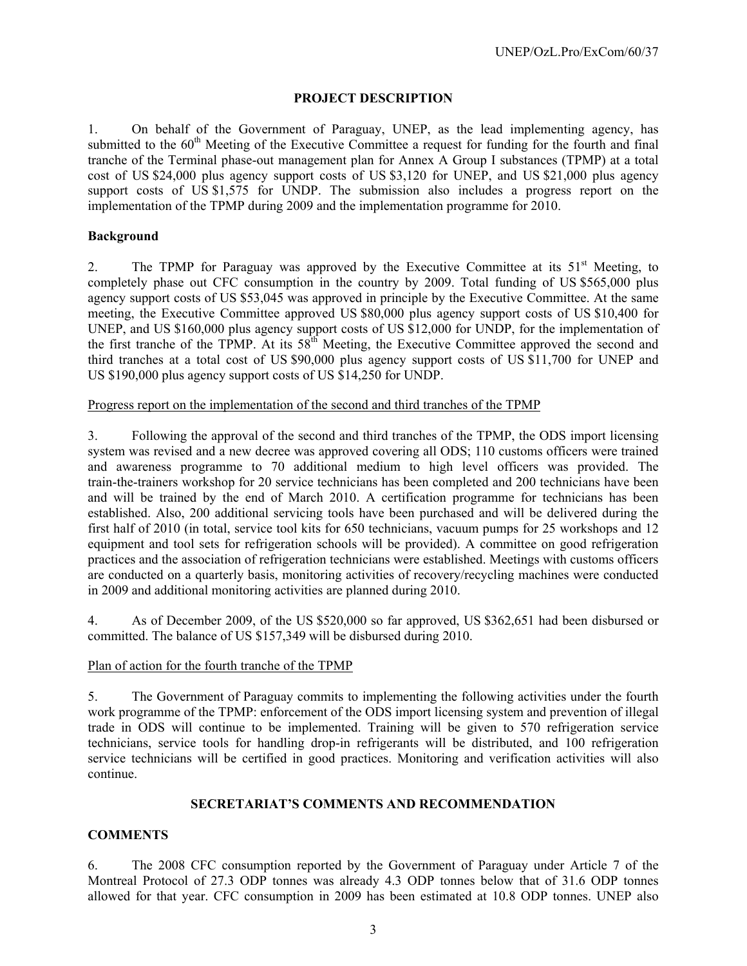## **PROJECT DESCRIPTION**

1. On behalf of the Government of Paraguay, UNEP, as the lead implementing agency, has submitted to the 60<sup>th</sup> Meeting of the Executive Committee a request for funding for the fourth and final tranche of the Terminal phase-out management plan for Annex A Group I substances (TPMP) at a total cost of US \$24,000 plus agency support costs of US \$3,120 for UNEP, and US \$21,000 plus agency support costs of US \$1,575 for UNDP. The submission also includes a progress report on the implementation of the TPMP during 2009 and the implementation programme for 2010.

### **Background**

2. The TPMP for Paraguay was approved by the Executive Committee at its  $51<sup>st</sup>$  Meeting, to completely phase out CFC consumption in the country by 2009. Total funding of US \$565,000 plus agency support costs of US \$53,045 was approved in principle by the Executive Committee. At the same meeting, the Executive Committee approved US \$80,000 plus agency support costs of US \$10,400 for UNEP, and US \$160,000 plus agency support costs of US \$12,000 for UNDP, for the implementation of the first tranche of the TPMP. At its  $58<sup>th</sup>$  Meeting, the Executive Committee approved the second and third tranches at a total cost of US \$90,000 plus agency support costs of US \$11,700 for UNEP and US \$190,000 plus agency support costs of US \$14,250 for UNDP.

Progress report on the implementation of the second and third tranches of the TPMP

3. Following the approval of the second and third tranches of the TPMP, the ODS import licensing system was revised and a new decree was approved covering all ODS; 110 customs officers were trained and awareness programme to 70 additional medium to high level officers was provided. The train-the-trainers workshop for 20 service technicians has been completed and 200 technicians have been and will be trained by the end of March 2010. A certification programme for technicians has been established. Also, 200 additional servicing tools have been purchased and will be delivered during the first half of 2010 (in total, service tool kits for 650 technicians, vacuum pumps for 25 workshops and 12 equipment and tool sets for refrigeration schools will be provided). A committee on good refrigeration practices and the association of refrigeration technicians were established. Meetings with customs officers are conducted on a quarterly basis, monitoring activities of recovery/recycling machines were conducted in 2009 and additional monitoring activities are planned during 2010.

4. As of December 2009, of the US \$520,000 so far approved, US \$362,651 had been disbursed or committed. The balance of US \$157,349 will be disbursed during 2010.

## Plan of action for the fourth tranche of the TPMP

5. The Government of Paraguay commits to implementing the following activities under the fourth work programme of the TPMP: enforcement of the ODS import licensing system and prevention of illegal trade in ODS will continue to be implemented. Training will be given to 570 refrigeration service technicians, service tools for handling drop-in refrigerants will be distributed, and 100 refrigeration service technicians will be certified in good practices. Monitoring and verification activities will also continue.

## **SECRETARIAT'S COMMENTS AND RECOMMENDATION**

## **COMMENTS**

6. The 2008 CFC consumption reported by the Government of Paraguay under Article 7 of the Montreal Protocol of 27.3 ODP tonnes was already 4.3 ODP tonnes below that of 31.6 ODP tonnes allowed for that year. CFC consumption in 2009 has been estimated at 10.8 ODP tonnes. UNEP also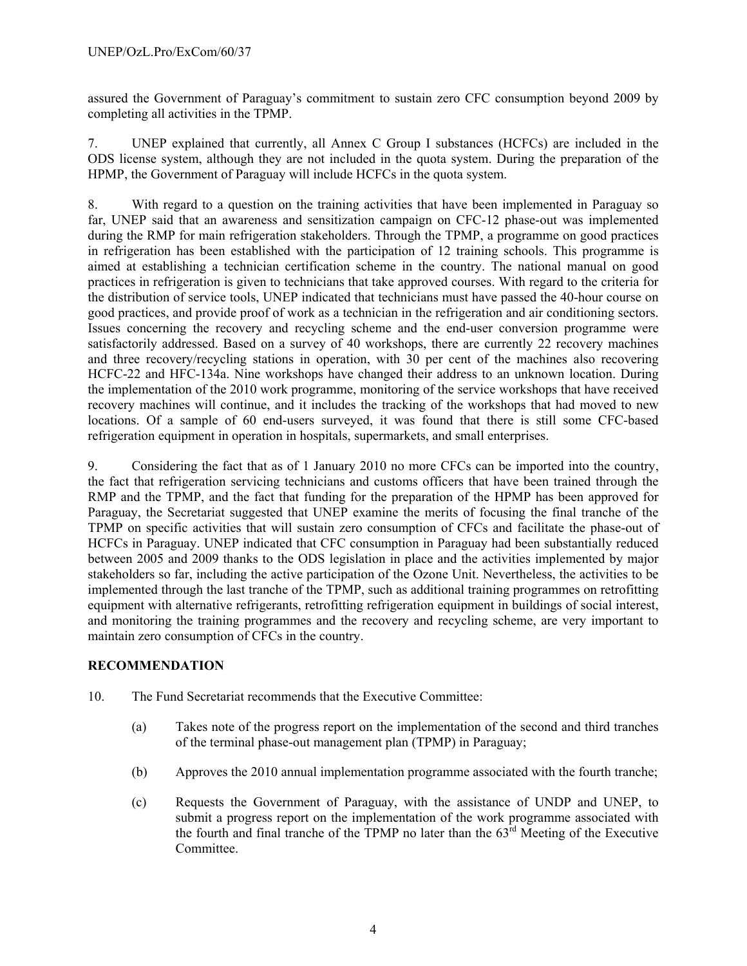assured the Government of Paraguay's commitment to sustain zero CFC consumption beyond 2009 by completing all activities in the TPMP.

7. UNEP explained that currently, all Annex C Group I substances (HCFCs) are included in the ODS license system, although they are not included in the quota system. During the preparation of the HPMP, the Government of Paraguay will include HCFCs in the quota system.

8. With regard to a question on the training activities that have been implemented in Paraguay so far, UNEP said that an awareness and sensitization campaign on CFC-12 phase-out was implemented during the RMP for main refrigeration stakeholders. Through the TPMP, a programme on good practices in refrigeration has been established with the participation of 12 training schools. This programme is aimed at establishing a technician certification scheme in the country. The national manual on good practices in refrigeration is given to technicians that take approved courses. With regard to the criteria for the distribution of service tools, UNEP indicated that technicians must have passed the 40-hour course on good practices, and provide proof of work as a technician in the refrigeration and air conditioning sectors. Issues concerning the recovery and recycling scheme and the end-user conversion programme were satisfactorily addressed. Based on a survey of 40 workshops, there are currently 22 recovery machines and three recovery/recycling stations in operation, with 30 per cent of the machines also recovering HCFC-22 and HFC-134a. Nine workshops have changed their address to an unknown location. During the implementation of the 2010 work programme, monitoring of the service workshops that have received recovery machines will continue, and it includes the tracking of the workshops that had moved to new locations. Of a sample of 60 end-users surveyed, it was found that there is still some CFC-based refrigeration equipment in operation in hospitals, supermarkets, and small enterprises.

9. Considering the fact that as of 1 January 2010 no more CFCs can be imported into the country, the fact that refrigeration servicing technicians and customs officers that have been trained through the RMP and the TPMP, and the fact that funding for the preparation of the HPMP has been approved for Paraguay, the Secretariat suggested that UNEP examine the merits of focusing the final tranche of the TPMP on specific activities that will sustain zero consumption of CFCs and facilitate the phase-out of HCFCs in Paraguay. UNEP indicated that CFC consumption in Paraguay had been substantially reduced between 2005 and 2009 thanks to the ODS legislation in place and the activities implemented by major stakeholders so far, including the active participation of the Ozone Unit. Nevertheless, the activities to be implemented through the last tranche of the TPMP, such as additional training programmes on retrofitting equipment with alternative refrigerants, retrofitting refrigeration equipment in buildings of social interest, and monitoring the training programmes and the recovery and recycling scheme, are very important to maintain zero consumption of CFCs in the country.

## **RECOMMENDATION**

- 10. The Fund Secretariat recommends that the Executive Committee:
	- (a) Takes note of the progress report on the implementation of the second and third tranches of the terminal phase-out management plan (TPMP) in Paraguay;
	- (b) Approves the 2010 annual implementation programme associated with the fourth tranche;
	- (c) Requests the Government of Paraguay, with the assistance of UNDP and UNEP, to submit a progress report on the implementation of the work programme associated with the fourth and final tranche of the TPMP no later than the  $63<sup>rd</sup>$  Meeting of the Executive Committee.